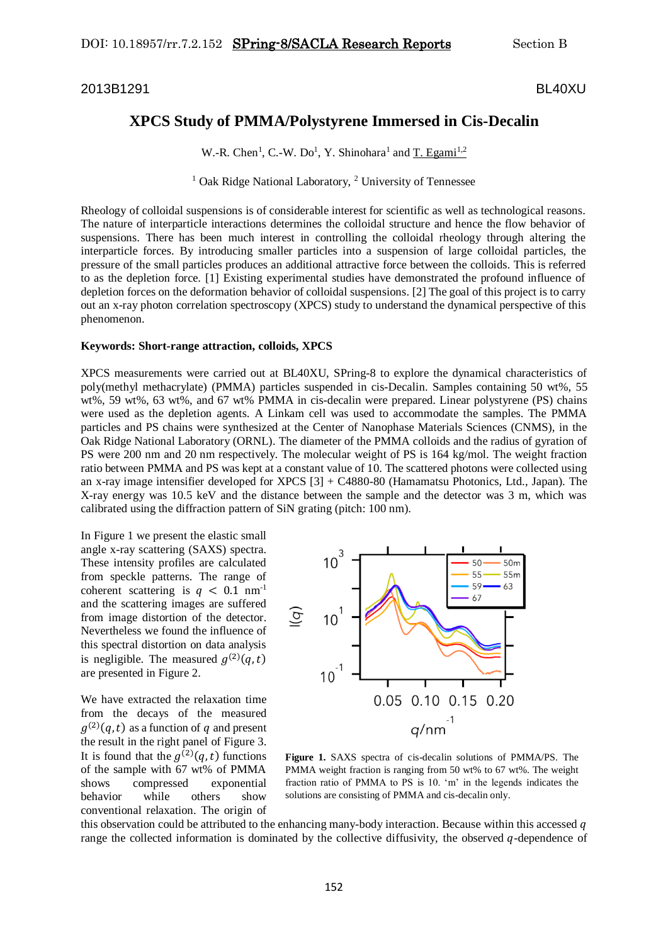2013B1291 BL40XU

## **XPCS Study of PMMA/Polystyrene Immersed in Cis-Decalin**

W.-R. Chen<sup>1</sup>, C.-W. Do<sup>1</sup>, Y. Shinohara<sup>1</sup> and T. Egami<sup>1,2</sup>

<sup>1</sup> Oak Ridge National Laboratory, <sup>2</sup> University of Tennessee

Rheology of colloidal suspensions is of considerable interest for scientific as well as technological reasons. The nature of interparticle interactions determines the colloidal structure and hence the flow behavior of suspensions. There has been much interest in controlling the colloidal rheology through altering the interparticle forces. By introducing smaller particles into a suspension of large colloidal particles, the pressure of the small particles produces an additional attractive force between the colloids. This is referred to as the depletion force. [1] Existing experimental studies have demonstrated the profound influence of depletion forces on the deformation behavior of colloidal suspensions. [2] The goal of this project is to carry out an x-ray photon correlation spectroscopy (XPCS) study to understand the dynamical perspective of this phenomenon.

## **Keywords: Short-range attraction, colloids, XPCS**

XPCS measurements were carried out at BL40XU, SPring-8 to explore the dynamical characteristics of poly(methyl methacrylate) (PMMA) particles suspended in cis-Decalin. Samples containing 50 wt%, 55 wt%, 59 wt%, 63 wt%, and 67 wt% PMMA in cis-decalin were prepared. Linear polystyrene (PS) chains were used as the depletion agents. A Linkam cell was used to accommodate the samples. The PMMA particles and PS chains were synthesized at the Center of Nanophase Materials Sciences (CNMS), in the Oak Ridge National Laboratory (ORNL). The diameter of the PMMA colloids and the radius of gyration of PS were 200 nm and 20 nm respectively. The molecular weight of PS is 164 kg/mol. The weight fraction ratio between PMMA and PS was kept at a constant value of 10. The scattered photons were collected using an x-ray image intensifier developed for XPCS [3] + C4880-80 (Hamamatsu Photonics, Ltd., Japan). The X-ray energy was 10.5 keV and the distance between the sample and the detector was 3 m, which was calibrated using the diffraction pattern of SiN grating (pitch: 100 nm).

In Figure 1 we present the elastic small angle x-ray scattering (SAXS) spectra. These intensity profiles are calculated from speckle patterns. The range of coherent scattering is  $q < 0.1$  nm<sup>-1</sup> and the scattering images are suffered from image distortion of the detector. Nevertheless we found the influence of this spectral distortion on data analysis is negligible. The measured  $g^{(2)}(q,t)$ are presented in Figure 2.

We have extracted the relaxation time from the decays of the measured  $g^{(2)}(q,t)$  as a function of q and present the result in the right panel of Figure 3. It is found that the  $g^{(2)}(q,t)$  functions of the sample with 67 wt% of PMMA shows compressed exponential behavior while others show conventional relaxation. The origin of



**Figure 1.** SAXS spectra of cis-decalin solutions of PMMA/PS. The PMMA weight fraction is ranging from 50 wt% to 67 wt%. The weight fraction ratio of PMMA to PS is 10. 'm' in the legends indicates the solutions are consisting of PMMA and cis-decalin only.

this observation could be attributed to the enhancing many-body interaction. Because within this accessed  $q$ range the collected information is dominated by the collective diffusivity, the observed  $q$ -dependence of